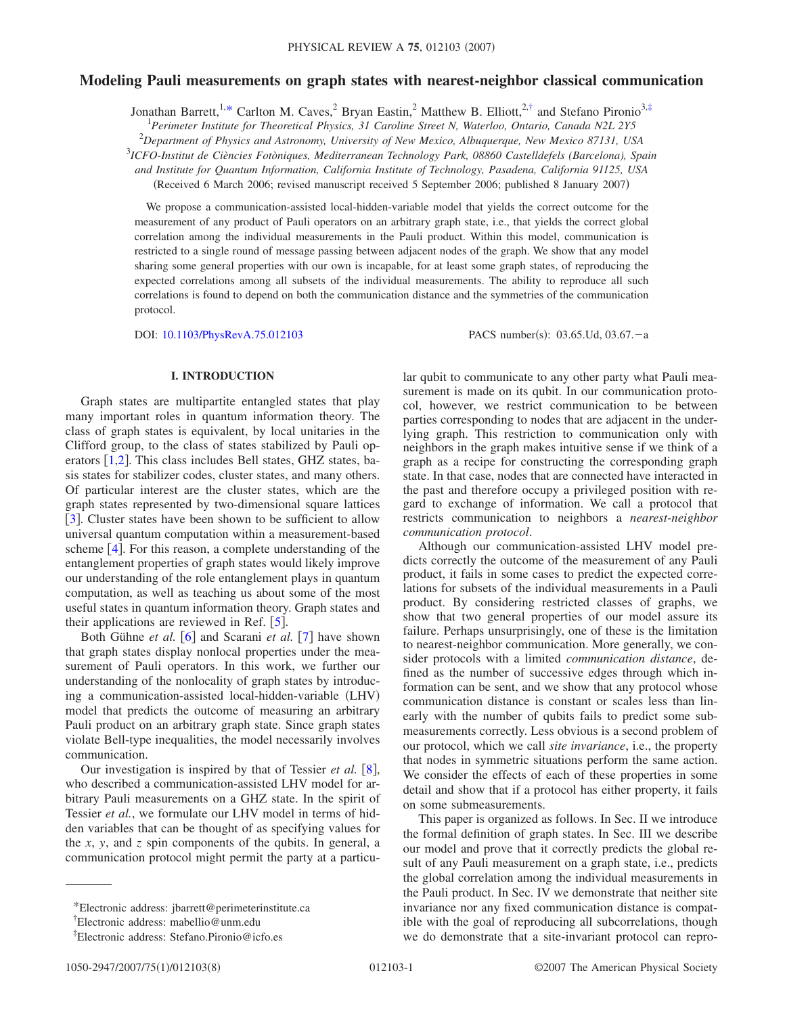# **Modeling Pauli measurements on graph states with nearest-neighbor classical communication**

Jonathan Barrett,<sup>1[,\\*](#page-0-0)</sup> Carlton M. Caves,<sup>2</sup> Bryan Eastin,<sup>2</sup> Matthew B. Elliott,<sup>2[,†](#page-0-1)</sup> and Stefano Pironio<sup>3[,‡](#page-0-2)</sup>

1 *Perimeter Institute for Theoretical Physics, 31 Caroline Street N, Waterloo, Ontario, Canada N2L 2Y5*

2 *Department of Physics and Astronomy, University of New Mexico, Albuquerque, New Mexico 87131, USA*

3 *ICFO-Institut de Ciències Fotòniques, Mediterranean Technology Park, 08860 Castelldefels (Barcelona), Spain*

*and Institute for Quantum Information, California Institute of Technology, Pasadena, California 91125, USA*

(Received 6 March 2006; revised manuscript received 5 September 2006; published 8 January 2007)

We propose a communication-assisted local-hidden-variable model that yields the correct outcome for the measurement of any product of Pauli operators on an arbitrary graph state, i.e., that yields the correct global correlation among the individual measurements in the Pauli product. Within this model, communication is restricted to a single round of message passing between adjacent nodes of the graph. We show that any model sharing some general properties with our own is incapable, for at least some graph states, of reproducing the expected correlations among all subsets of the individual measurements. The ability to reproduce all such correlations is found to depend on both the communication distance and the symmetries of the communication protocol.

DOI: [10.1103/PhysRevA.75.012103](http://dx.doi.org/10.1103/PhysRevA.75.012103)

PACS number(s):  $03.65$ .Ud,  $03.67 - a$ 

# **I. INTRODUCTION**

Graph states are multipartite entangled states that play many important roles in quantum information theory. The class of graph states is equivalent, by local unitaries in the Clifford group, to the class of states stabilized by Pauli operators  $[1,2]$  $[1,2]$  $[1,2]$  $[1,2]$ . This class includes Bell states, GHZ states, basis states for stabilizer codes, cluster states, and many others. Of particular interest are the cluster states, which are the graph states represented by two-dimensional square lattices [[3](#page-7-2)]. Cluster states have been shown to be sufficient to allow universal quantum computation within a measurement-based scheme  $[4]$  $[4]$  $[4]$ . For this reason, a complete understanding of the entanglement properties of graph states would likely improve our understanding of the role entanglement plays in quantum computation, as well as teaching us about some of the most useful states in quantum information theory. Graph states and their applications are reviewed in Ref.  $\lceil 5 \rceil$  $\lceil 5 \rceil$  $\lceil 5 \rceil$ .

Both Gühne *et al.* [[6](#page-7-5)] and Scarani *et al.* [[7](#page-7-6)] have shown that graph states display nonlocal properties under the measurement of Pauli operators. In this work, we further our understanding of the nonlocality of graph states by introducing a communication-assisted local-hidden-variable (LHV) model that predicts the outcome of measuring an arbitrary Pauli product on an arbitrary graph state. Since graph states violate Bell-type inequalities, the model necessarily involves communication.

Our investigation is inspired by that of Tessier *et al.* [[8](#page-7-7)], who described a communication-assisted LHV model for arbitrary Pauli measurements on a GHZ state. In the spirit of Tessier *et al.*, we formulate our LHV model in terms of hidden variables that can be thought of as specifying values for the *x*, *y*, and *z* spin components of the qubits. In general, a communication protocol might permit the party at a particu-

<span id="page-0-1"></span>† Electronic address: mabellio@unm.edu

lar qubit to communicate to any other party what Pauli measurement is made on its qubit. In our communication protocol, however, we restrict communication to be between parties corresponding to nodes that are adjacent in the underlying graph. This restriction to communication only with neighbors in the graph makes intuitive sense if we think of a graph as a recipe for constructing the corresponding graph state. In that case, nodes that are connected have interacted in the past and therefore occupy a privileged position with regard to exchange of information. We call a protocol that restricts communication to neighbors a *nearest-neighbor communication protocol*.

Although our communication-assisted LHV model predicts correctly the outcome of the measurement of any Pauli product, it fails in some cases to predict the expected correlations for subsets of the individual measurements in a Pauli product. By considering restricted classes of graphs, we show that two general properties of our model assure its failure. Perhaps unsurprisingly, one of these is the limitation to nearest-neighbor communication. More generally, we consider protocols with a limited *communication distance*, defined as the number of successive edges through which information can be sent, and we show that any protocol whose communication distance is constant or scales less than linearly with the number of qubits fails to predict some submeasurements correctly. Less obvious is a second problem of our protocol, which we call *site invariance*, i.e., the property that nodes in symmetric situations perform the same action. We consider the effects of each of these properties in some detail and show that if a protocol has either property, it fails on some submeasurements.

This paper is organized as follows. In Sec. II we introduce the formal definition of graph states. In Sec. III we describe our model and prove that it correctly predicts the global result of any Pauli measurement on a graph state, i.e., predicts the global correlation among the individual measurements in the Pauli product. In Sec. IV we demonstrate that neither site invariance nor any fixed communication distance is compatible with the goal of reproducing all subcorrelations, though we do demonstrate that a site-invariant protocol can repro-

<span id="page-0-0"></span><sup>\*</sup>Electronic address: jbarrett@perimeterinstitute.ca

<span id="page-0-2"></span><sup>‡</sup> Electronic address: Stefano.Pironio@icfo.es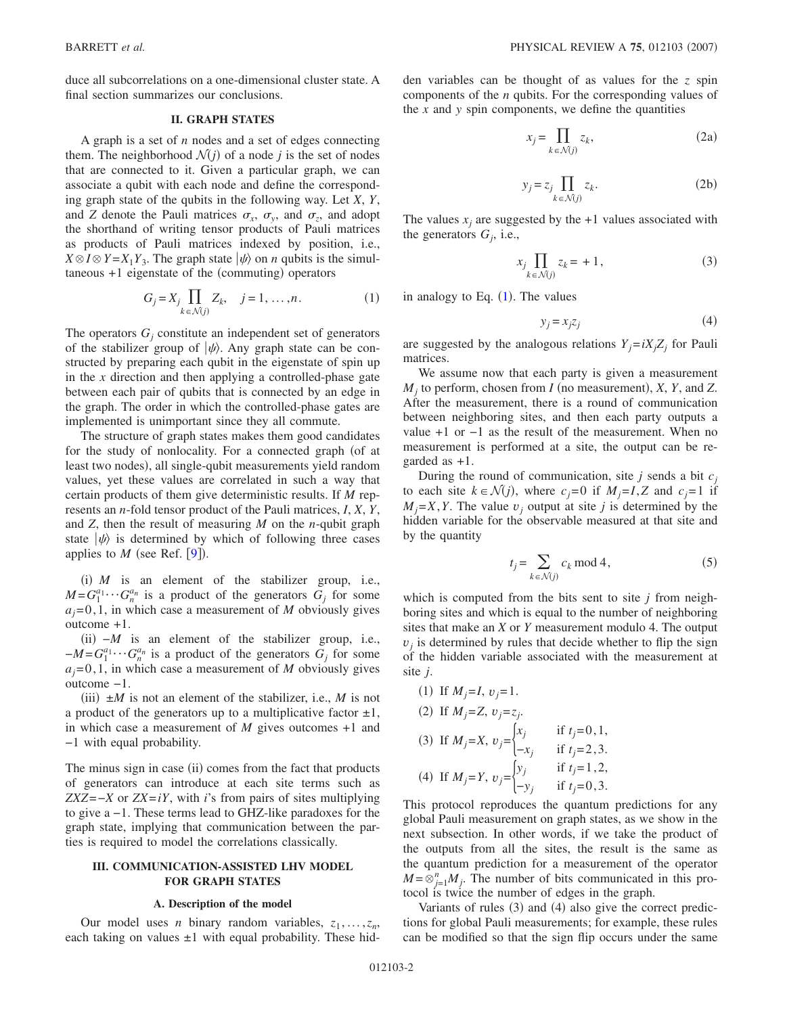duce all subcorrelations on a one-dimensional cluster state. A final section summarizes our conclusions.

### **II. GRAPH STATES**

A graph is a set of *n* nodes and a set of edges connecting them. The neighborhood  $\mathcal{N}(j)$  of a node *j* is the set of nodes that are connected to it. Given a particular graph, we can associate a qubit with each node and define the corresponding graph state of the qubits in the following way. Let *X*, *Y*, and *Z* denote the Pauli matrices  $\sigma_x$ ,  $\sigma_y$ , and  $\sigma_z$ , and adopt the shorthand of writing tensor products of Pauli matrices as products of Pauli matrices indexed by position, i.e.,  $X \otimes I \otimes Y = X_1 Y_3$ . The graph state  $|\psi\rangle$  on *n* qubits is the simultaneous +1 eigenstate of the (commuting) operators

$$
G_j = X_j \prod_{k \in \mathcal{N}(j)} Z_k, \quad j = 1, ..., n.
$$
 (1)

<span id="page-1-0"></span>The operators  $G_i$  constitute an independent set of generators of the stabilizer group of  $|\psi\rangle$ . Any graph state can be constructed by preparing each qubit in the eigenstate of spin up in the *x* direction and then applying a controlled-phase gate between each pair of qubits that is connected by an edge in the graph. The order in which the controlled-phase gates are implemented is unimportant since they all commute.

The structure of graph states makes them good candidates for the study of nonlocality. For a connected graph (of at least two nodes), all single-qubit measurements yield random values, yet these values are correlated in such a way that certain products of them give deterministic results. If *M* represents an *n*-fold tensor product of the Pauli matrices, *I*, *X*, *Y*, and *Z*, then the result of measuring *M* on the *n*-qubit graph state  $|\psi\rangle$  is determined by which of following three cases applies to  $M$  (see Ref. [[9](#page-7-8)]).

 $(i)$   $M$  is an element of the stabilizer group, i.e.,  $M = G_1^{a_1} \cdots G_n^{a_n}$  is a product of the generators  $G_j$  for some  $a_j = 0, 1$ , in which case a measurement of *M* obviously gives outcome +1.

(ii)  $-M$  is an element of the stabilizer group, i.e.,  $-M = G_1^{a_1} \cdots G_n^{a_n}$  is a product of the generators  $G_j$  for some  $a_j = 0, 1$ , in which case a measurement of *M* obviously gives outcome −1.

(iii)  $\pm M$  is not an element of the stabilizer, i.e., *M* is not a product of the generators up to a multiplicative factor  $\pm 1$ , in which case a measurement of *M* gives outcomes +1 and −1 with equal probability.

The minus sign in case (ii) comes from the fact that products of generators can introduce at each site terms such as *ZXZ*=−*X* or *ZX*=*iY*, with *i*'s from pairs of sites multiplying to give a −1. These terms lead to GHZ-like paradoxes for the graph state, implying that communication between the parties is required to model the correlations classically.

# **III. COMMUNICATION-ASSISTED LHV MODEL FOR GRAPH STATES**

#### **A. Description of the model**

Our model uses *n* binary random variables,  $z_1, \ldots, z_n$ , each taking on values  $\pm 1$  with equal probability. These hid<span id="page-1-3"></span>den variables can be thought of as values for the *z* spin components of the *n* qubits. For the corresponding values of the  $x$  and  $y$  spin components, we define the quantities

$$
x_j = \prod_{k \in \mathcal{N}(j)} z_k,\tag{2a}
$$

$$
y_j = z_j \prod_{k \in \mathcal{N}(j)} z_k.
$$
 (2b)

The values  $x_i$  are suggested by the  $+1$  values associated with the generators  $G_i$ , i.e.,

$$
x_j \prod_{k \in \mathcal{N}(j)} z_k = +1, \tag{3}
$$

<span id="page-1-1"></span>in analogy to Eq.  $(1)$  $(1)$  $(1)$ . The values

$$
y_j = x_j z_j \tag{4}
$$

are suggested by the analogous relations  $Y_i = iX_iZ_i$  for Pauli matrices.

We assume now that each party is given a measurement  $M_j$  to perform, chosen from *I* (no measurement), *X*, *Y*, and *Z*. After the measurement, there is a round of communication between neighboring sites, and then each party outputs a value +1 or −1 as the result of the measurement. When no measurement is performed at a site, the output can be regarded as  $+1$ .

During the round of communication, site *j* sends a bit *cj* to each site  $k \in \mathcal{N}(j)$ , where  $c_j = 0$  if  $M_j = I, Z$  and  $c_j = 1$  if  $M_i = X, Y$ . The value  $v_i$  output at site *j* is determined by the hidden variable for the observable measured at that site and by the quantity

$$
t_j = \sum_{k \in \mathcal{N}(j)} c_k \mod 4,\tag{5}
$$

<span id="page-1-2"></span>which is computed from the bits sent to site *j* from neighboring sites and which is equal to the number of neighboring sites that make an *X* or *Y* measurement modulo 4. The output  $v_i$  is determined by rules that decide whether to flip the sign of the hidden variable associated with the measurement at site *j*.

(1) If 
$$
M_j = I
$$
,  $v_j = 1$ .  
\n(2) If  $M_j = Z$ ,  $v_j = z_j$ .  
\n(3) If  $M_j = X$ ,  $v_j =\begin{cases} x_j & \text{if } t_j = 0, 1, \\ -x_j & \text{if } t_j = 2, 3. \end{cases}$ .  
\n(4) If  $M_j = Y$ ,  $v_j =\begin{cases} y_j & \text{if } t_j = 1, 2, \\ -y_j & \text{if } t_j = 0, 3. \end{cases}$ .

This protocol reproduces the quantum predictions for any global Pauli measurement on graph states, as we show in the next subsection. In other words, if we take the product of the outputs from all the sites, the result is the same as the quantum prediction for a measurement of the operator  $M = \otimes_{j=1}^n M_j$ . The number of bits communicated in this protocol is twice the number of edges in the graph.

Variants of rules  $(3)$  and  $(4)$  also give the correct predictions for global Pauli measurements; for example, these rules can be modified so that the sign flip occurs under the same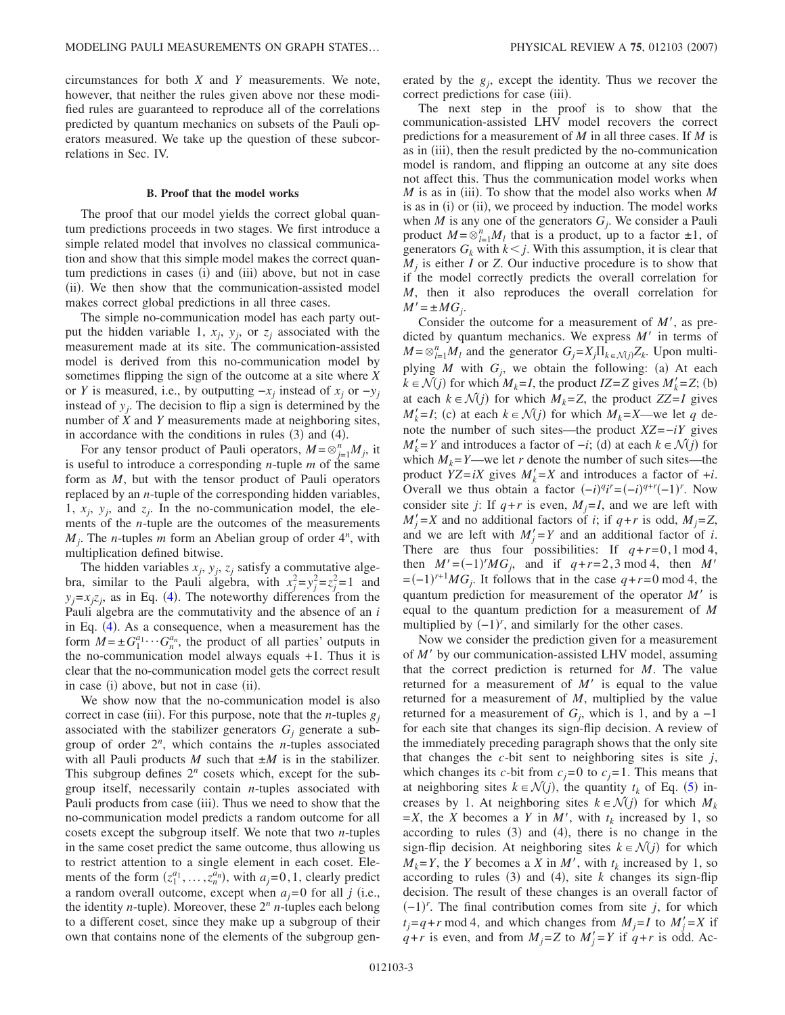circumstances for both *X* and *Y* measurements. We note, however, that neither the rules given above nor these modified rules are guaranteed to reproduce all of the correlations predicted by quantum mechanics on subsets of the Pauli operators measured. We take up the question of these subcorrelations in Sec. IV.

### **B. Proof that the model works**

The proof that our model yields the correct global quantum predictions proceeds in two stages. We first introduce a simple related model that involves no classical communication and show that this simple model makes the correct quantum predictions in cases (i) and (iii) above, but not in case (ii). We then show that the communication-assisted model makes correct global predictions in all three cases.

The simple no-communication model has each party output the hidden variable 1,  $x_j$ ,  $y_j$ , or  $z_j$  associated with the measurement made at its site. The communication-assisted model is derived from this no-communication model by sometimes flipping the sign of the outcome at a site where *X* or *Y* is measured, i.e., by outputting −*xj* instead of *xj* or −*yj* instead of  $y_i$ . The decision to flip a sign is determined by the number of *X* and *Y* measurements made at neighboring sites, in accordance with the conditions in rules  $(3)$  and  $(4)$ .

For any tensor product of Pauli operators,  $M = \otimes_{j=1}^{n} M_j$ , it is useful to introduce a corresponding *n*-tuple *m* of the same form as *M*, but with the tensor product of Pauli operators replaced by an *n*-tuple of the corresponding hidden variables, 1,  $x_i$ ,  $y_j$ , and  $z_j$ . In the no-communication model, the elements of the *n*-tuple are the outcomes of the measurements  $M_j$ . The *n*-tuples *m* form an Abelian group of order  $4^n$ , with multiplication defined bitwise.

The hidden variables  $x_j$ ,  $y_j$ ,  $z_j$  satisfy a commutative algebra, similar to the Pauli algebra, with  $x_j^2 = y_j^2 = z_j^2 = 1$  and  $y_j = x_j z_j$ , as in Eq. ([4](#page-1-1)). The noteworthy differences from the Pauli algebra are the commutativity and the absence of an *i* in Eq. ([4](#page-1-1)). As a consequence, when a measurement has the form  $M = \pm G_1^{a_1} \cdots G_n^{a_n}$ , the product of all parties' outputs in the no-communication model always equals +1. Thus it is clear that the no-communication model gets the correct result in case (i) above, but not in case (ii).

We show now that the no-communication model is also correct in case (iii). For this purpose, note that the *n*-tuples  $g_j$ associated with the stabilizer generators  $G_i$  generate a subgroup of order 2*<sup>n</sup>* , which contains the *n*-tuples associated with all Pauli products  $M$  such that  $\pm M$  is in the stabilizer. This subgroup defines  $2^n$  cosets which, except for the subgroup itself, necessarily contain *n*-tuples associated with Pauli products from case (iii). Thus we need to show that the no-communication model predicts a random outcome for all cosets except the subgroup itself. We note that two *n*-tuples in the same coset predict the same outcome, thus allowing us to restrict attention to a single element in each coset. Elements of the form  $(z_1^{a_1}, \ldots, z_n^{a_n})$ , with  $a_j = 0, 1$ , clearly predict a random overall outcome, except when  $a_i = 0$  for all *j* (i.e., the identity *n*-tuple). Moreover, these  $2^n$  *n*-tuples each belong to a different coset, since they make up a subgroup of their own that contains none of the elements of the subgroup generated by the *gj*, except the identity. Thus we recover the correct predictions for case (iii).

The next step in the proof is to show that the communication-assisted LHV model recovers the correct predictions for a measurement of *M* in all three cases. If *M* is as in (iii), then the result predicted by the no-communication model is random, and flipping an outcome at any site does not affect this. Thus the communication model works when  $M$  is as in (iii). To show that the model also works when  $M$ is as in (i) or (ii), we proceed by induction. The model works when *M* is any one of the generators  $G_i$ . We consider a Pauli product  $M = \otimes_{l=1}^{n} M_l$  that is a product, up to a factor  $\pm 1$ , of generators  $G_k$  with  $k \leq j$ . With this assumption, it is clear that  $M_i$  is either *I* or *Z*. Our inductive procedure is to show that if the model correctly predicts the overall correlation for *M*, then it also reproduces the overall correlation for  $M' = \pm MG_i$ .

Consider the outcome for a measurement of *M*, as predicted by quantum mechanics. We express  $M'$  in terms of  $M = \otimes_{l=1}^{n} M_l$  and the generator  $G_j = X_j \prod_{k \in \mathcal{N}(j)} Z_k$ . Upon multiplying M with  $G_j$ , we obtain the following: (a) At each  $k \in \mathcal{N}(j)$  for which  $M_k = I$ , the product *IZ*=*Z* gives  $M'_k = Z$ ; (b) at each  $k \in \mathcal{N}(j)$  for which  $M_k = Z$ , the product  $ZZ = I$  gives  $M'_k = I$ ; (c) at each  $k \in \mathcal{N}(j)$  for which  $M_k = X$ —we let *q* denote the number of such sites—the product *XZ*=−*iY* gives  $M'_{k} = Y$  and introduces a factor of  $-i$ ; (d) at each  $k \in \mathcal{N}(j)$  for which  $M_k = Y$ —we let *r* denote the number of such sites—the product  $YZ = iX$  gives  $M'_k = X$  and introduces a factor of  $+i$ . Overall we thus obtain a factor  $(-i)^{q}i^{r} = (-i)^{q+r}(-1)^{r}$ . Now consider site *j*: If  $q+r$  is even,  $M<sub>j</sub>=1$ , and we are left with  $M'_j = X$  and no additional factors of *i*; if  $q+r$  is odd,  $M_j = Z$ , and we are left with  $M'_j = Y$  and an additional factor of *i*. There are thus four possibilities: If  $q+r=0,1 \mod 4$ , then  $M' = (-1)^r M G_j$ , and if  $q+r=2,3 \mod 4$ , then M'  $=(-1)^{r+1}MG_j$ . It follows that in the case  $q+r=0 \mod 4$ , the quantum prediction for measurement of the operator *M* is equal to the quantum prediction for a measurement of *M* multiplied by  $(-1)^r$ , and similarly for the other cases.

Now we consider the prediction given for a measurement of *M'* by our communication-assisted LHV model, assuming that the correct prediction is returned for *M*. The value returned for a measurement of  $M'$  is equal to the value returned for a measurement of *M*, multiplied by the value returned for a measurement of  $G_i$ , which is 1, and by a -1 for each site that changes its sign-flip decision. A review of the immediately preceding paragraph shows that the only site that changes the *c*-bit sent to neighboring sites is site *j*, which changes its *c*-bit from  $c_j = 0$  to  $c_j = 1$ . This means that at neighboring sites  $k \in \mathcal{N}(j)$ , the quantity  $t_k$  of Eq. ([5](#page-1-2)) increases by 1. At neighboring sites  $k \in \mathcal{N}(j)$  for which  $M_k$  $=X$ , the *X* becomes a *Y* in *M'*, with  $t_k$  increased by 1, so according to rules  $(3)$  and  $(4)$ , there is no change in the sign-flip decision. At neighboring sites  $k \in \mathcal{N}(j)$  for which  $M_k = Y$ , the *Y* becomes a *X* in *M'*, with  $t_k$  increased by 1, so according to rules  $(3)$  and  $(4)$ , site *k* changes its sign-flip decision. The result of these changes is an overall factor of  $(-1)^r$ . The final contribution comes from site *j*, for which  $t_j = q + r \mod 4$ , and which changes from  $M_j = I$  to  $M'_j = X$  if  $q+r$  is even, and from  $M_j = Z$  to  $M'_j = Y$  if  $q+r$  is odd. Ac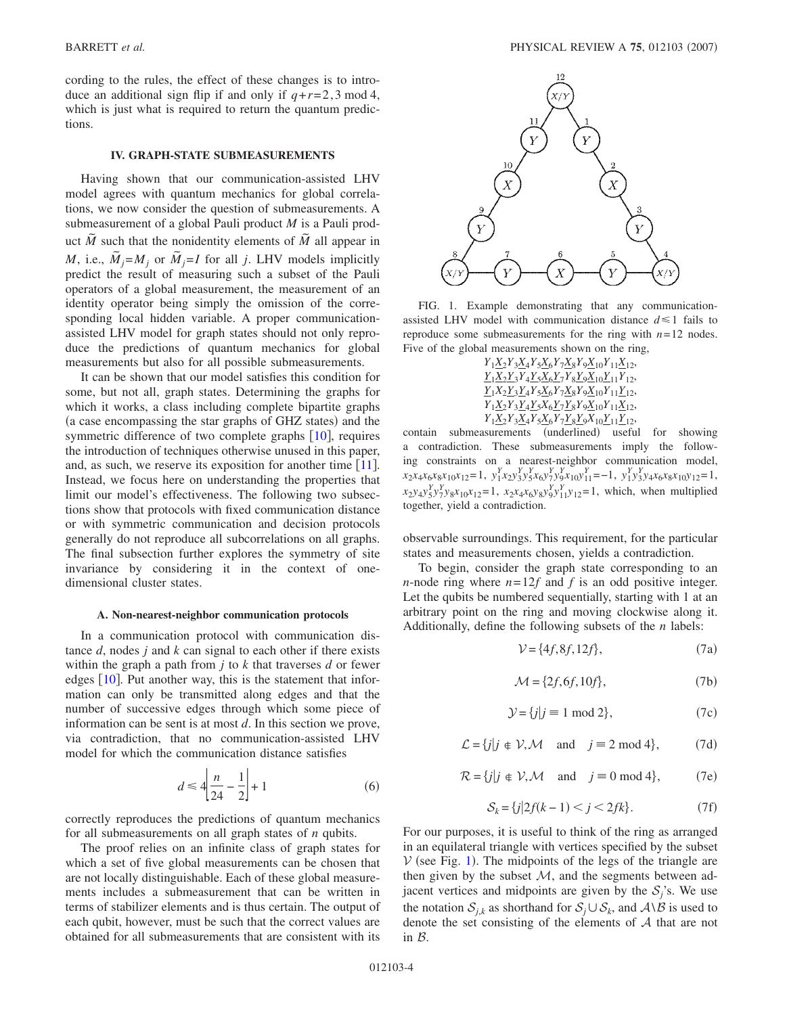cording to the rules, the effect of these changes is to introduce an additional sign flip if and only if  $q+r=2,3 \mod 4$ , which is just what is required to return the quantum predictions.

# **IV. GRAPH-STATE SUBMEASUREMENTS**

Having shown that our communication-assisted LHV model agrees with quantum mechanics for global correlations, we now consider the question of submeasurements. A submeasurement of a global Pauli product *M* is a Pauli product  $\tilde{M}$  such that the nonidentity elements of  $\tilde{M}$  all appear in *M*, i.e.,  $M_i = M_i$  or  $M_i = I$  for all *j*. LHV models implicitly predict the result of measuring such a subset of the Pauli operators of a global measurement, the measurement of an identity operator being simply the omission of the corresponding local hidden variable. A proper communicationassisted LHV model for graph states should not only reproduce the predictions of quantum mechanics for global measurements but also for all possible submeasurements.

It can be shown that our model satisfies this condition for some, but not all, graph states. Determining the graphs for which it works, a class including complete bipartite graphs (a case encompassing the star graphs of GHZ states) and the symmetric difference of two complete graphs  $[10]$  $[10]$  $[10]$ , requires the introduction of techniques otherwise unused in this paper, and, as such, we reserve its exposition for another time  $[11]$  $[11]$  $[11]$ . Instead, we focus here on understanding the properties that limit our model's effectiveness. The following two subsections show that protocols with fixed communication distance or with symmetric communication and decision protocols generally do not reproduce all subcorrelations on all graphs. The final subsection further explores the symmetry of site invariance by considering it in the context of onedimensional cluster states.

#### **A. Non-nearest-neighbor communication protocols**

In a communication protocol with communication distance *d*, nodes *j* and *k* can signal to each other if there exists within the graph a path from *j* to *k* that traverses *d* or fewer edges  $\lceil 10 \rceil$  $\lceil 10 \rceil$  $\lceil 10 \rceil$ . Put another way, this is the statement that information can only be transmitted along edges and that the number of successive edges through which some piece of information can be sent is at most *d*. In this section we prove, via contradiction, that no communication-assisted LHV model for which the communication distance satisfies

$$
d \le 4\left|\frac{n}{24} - \frac{1}{2}\right| + 1\tag{6}
$$

correctly reproduces the predictions of quantum mechanics for all submeasurements on all graph states of *n* qubits.

The proof relies on an infinite class of graph states for which a set of five global measurements can be chosen that are not locally distinguishable. Each of these global measurements includes a submeasurement that can be written in terms of stabilizer elements and is thus certain. The output of each qubit, however, must be such that the correct values are obtained for all submeasurements that are consistent with its

<span id="page-3-0"></span>

FIG. 1. Example demonstrating that any communicationassisted LHV model with communication distance  $d \leq 1$  fails to reproduce some submeasurements for the ring with  $n=12$  nodes. Five of the global measurements shown on the ring,

| $Y_1X_2Y_3X_4Y_5X_6Y_7X_8Y_9X_{10}Y_{11}X_{12}$                                                                                                 |
|-------------------------------------------------------------------------------------------------------------------------------------------------|
| $Y_1X_2Y_3Y_4Y_5X_6Y_7Y_8Y_9X_{10}Y_{11}Y_{12}$                                                                                                 |
| $Y_1X_2Y_3Y_4Y_5X_6Y_7X_8Y_9X_{10}Y_{11}Y_{12}$                                                                                                 |
| $Y_1X_2Y_3Y_4Y_5X_6Y_7Y_8Y_9X_{10}Y_{11}X_{12}$                                                                                                 |
| $Y_1 \underline{X_2} Y_3 \underline{X_4} Y_5 \underline{X_6} Y_7 \underline{Y_8} \underline{Y_9} X_{10} \underline{Y_{11}} \underline{Y_{12}},$ |
| the contract of the contract of the contract of the contract of the contract of the contract of the contract of                                 |

contain submeasurements (underlined) useful for showing a contradiction. These submeasurements imply the following constraints on a nearest-neighbor communication model,  $x_2x_4x_6x_8x_{10}x_{12} = 1$ ,  $y_1^Y x_2 y_3^Y y_5^Y x_6 y_7^Y y_9^Y x_{10} y_{11}^Y = -1$ ,  $y_1^Y y_3^Y y_4 x_6 x_8 x_{10} y_{12} = 1$ ,  $x_2y_4y_5^Yy_7^Yy_8x_{10}x_{12} = 1$ ,  $x_2x_4x_6y_8y_9^Yy_{11}^Yy_{12} = 1$ , which, when multiplied together, yield a contradiction.

observable surroundings. This requirement, for the particular states and measurements chosen, yields a contradiction.

To begin, consider the graph state corresponding to an *n*-node ring where  $n=12f$  and  $f$  is an odd positive integer. Let the qubits be numbered sequentially, starting with 1 at an arbitrary point on the ring and moving clockwise along it. Additionally, define the following subsets of the *n* labels:

$$
\mathcal{V} = \{4f, 8f, 12f\},\tag{7a}
$$

$$
\mathcal{M} = \{2f, 6f, 10f\},\tag{7b}
$$

$$
\mathcal{Y} = \{j | j \equiv 1 \text{ mod } 2\},\tag{7c}
$$

$$
\mathcal{L} = \{ j | j \in \mathcal{V}, \mathcal{M} \quad \text{and} \quad j \equiv 2 \mod 4 \},\tag{7d}
$$

$$
\mathcal{R} = \{j | j \in \mathcal{V}, \mathcal{M} \quad \text{and} \quad j \equiv 0 \text{ mod } 4\},\tag{7e}
$$

$$
S_k = \{ j | 2f(k-1) < j < 2fk \}. \tag{7f}
$$

For our purposes, it is useful to think of the ring as arranged in an equilateral triangle with vertices specified by the subset  $V$  (see Fig. [1](#page-3-0)). The midpoints of the legs of the triangle are then given by the subset  $M$ , and the segments between adjacent vertices and midpoints are given by the  $S_i$ 's. We use the notation  $S_{i,k}$  as shorthand for  $S_i \cup S_k$ , and  $A \setminus B$  is used to denote the set consisting of the elements of A that are not in B.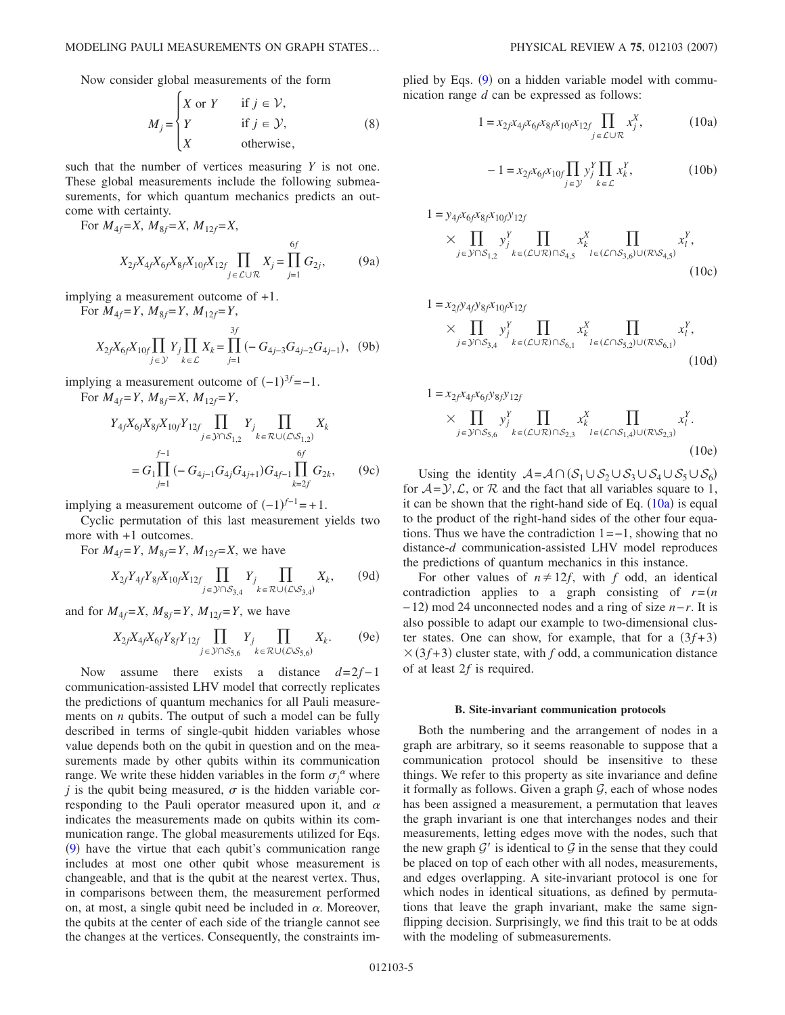Now consider global measurements of the form

$$
M_j = \begin{cases} X \text{ or } Y & \text{if } j \in \mathcal{V}, \\ Y & \text{if } j \in \mathcal{Y}, \\ X & \text{otherwise}, \end{cases}
$$
 (8)

such that the number of vertices measuring *Y* is not one. These global measurements include the following submeasurements, for which quantum mechanics predicts an outcome with certainty.

<span id="page-4-0"></span>For  $M_{4f} = X$ ,  $M_{8f} = X$ ,  $M_{12f} = X$ ,

$$
X_{2f}X_{4f}X_{6f}X_{8f}X_{10f}X_{12f}\prod_{j\in\mathcal{L}\cup\mathcal{R}}X_j = \prod_{j=1}^{6f}G_{2j},\qquad(9a)
$$

implying a measurement outcome of +1.

For 
$$
M_{4f} = Y
$$
,  $M_{8f} = Y$ ,  $M_{12f} = Y$ ,  
\n $X_{2f}X_{6f}X_{10f} \prod_{j \in \mathcal{Y}} Y_j \prod_{k \in \mathcal{L}} X_k = \prod_{j=1}^{3f} (-G_{4j-3}G_{4j-2}G_{4j-1}),$  (9b)

implying a measurement outcome of  $(-1)^{3f} = -1$ .

For  $M_{4f} = Y$ ,  $M_{8f} = X$ ,  $M_{12f} = Y$ ,

$$
Y_{4f}X_{6f}X_{8f}X_{10f}Y_{12f} \prod_{j \in \mathcal{Y} \cap S_{1,2}} Y_j \prod_{k \in \mathcal{R} \cup (\mathcal{L} \setminus S_{1,2})} X_k
$$
  
=  $G_1 \prod_{j=1}^{f-1} (-G_{4j-1}G_{4j}G_{4j+1})G_{4f-1} \prod_{k=2f}^{6f} G_{2k}$ , (9c)

implying a measurement outcome of  $(-1)^{f-1} = +1$ .

Cyclic permutation of this last measurement yields two more with +1 outcomes.

For  $M_{4f} = Y$ ,  $M_{8f} = Y$ ,  $M_{12f} = X$ , we have

$$
X_{2f}Y_{4f}Y_{8f}X_{10f}X_{12f} \prod_{j \in \mathcal{Y} \cap S_{3,4}} Y_j \prod_{k \in \mathcal{R} \cup (\mathcal{L} \backslash S_{3,4})} X_k, \qquad (9d)
$$

and for  $M_{4f} = X$ ,  $M_{8f} = Y$ ,  $M_{12f} = Y$ , we have

$$
X_{2f}X_{4f}X_{6f}Y_{8f}Y_{12f}\prod_{j\in\mathcal{Y}\cap\mathcal{S}_{5,6}}Y_j\prod_{k\in\mathcal{R}\cup(\mathcal{L}\backslash\mathcal{S}_{5,6})}X_k.
$$
 (9e)

Now assume there exists a distance *d*=2*f* −1 communication-assisted LHV model that correctly replicates the predictions of quantum mechanics for all Pauli measurements on *n* qubits. The output of such a model can be fully described in terms of single-qubit hidden variables whose value depends both on the qubit in question and on the measurements made by other qubits within its communication range. We write these hidden variables in the form  $\sigma_j^{\alpha}$  where *j* is the qubit being measured,  $\sigma$  is the hidden variable corresponding to the Pauli operator measured upon it, and  $\alpha$ indicates the measurements made on qubits within its communication range. The global measurements utilized for Eqs. ([9](#page-4-0)) have the virtue that each qubit's communication range includes at most one other qubit whose measurement is changeable, and that is the qubit at the nearest vertex. Thus, in comparisons between them, the measurement performed on, at most, a single qubit need be included in  $\alpha$ . Moreover, the qubits at the center of each side of the triangle cannot see the changes at the vertices. Consequently, the constraints im-

<span id="page-4-1"></span>plied by Eqs. ([9](#page-4-0)) on a hidden variable model with communication range *d* can be expressed as follows:

$$
1 = x_{2f} x_{4f} x_{6f} x_{8f} x_{10f} x_{12f} \prod_{j \in \mathcal{L} \cup \mathcal{R}} x_j^X,
$$
 (10a)

$$
-1 = x_{2f}x_{6f}x_{10f} \prod_{j \in \mathcal{Y}} y_j^Y \prod_{k \in \mathcal{L}} x_k^Y,
$$
 (10b)

$$
1 = y_{4f}x_{6f}x_{8f}x_{10f}y_{12f}
$$
  
\n
$$
\times \prod_{j \in \mathcal{Y}\cap S_{1,2}} y_j^Y \prod_{k \in (\mathcal{L}\cup\mathcal{R})\cap S_{4,5}} x_k^X \prod_{l \in (\mathcal{L}\cap S_{3,6})\cup (\mathcal{R}\cup S_{4,5})} x_l^Y,
$$
  
\n(10c)

$$
1 = x_{2f} y_{4f} y_{8f} x_{10f} x_{12f}
$$

$$
\times \prod_{j \in \mathcal{Y} \cap \mathcal{S}_{3,4}} y_j^Y \prod_{k \in (\mathcal{L} \cup \mathcal{R}) \cap \mathcal{S}_{6,1}} x_k^X \prod_{l \in (\mathcal{L} \cap \mathcal{S}_{5,2}) \cup (\mathcal{R} \cup \mathcal{S}_{6,1})} x_l^Y,
$$
\n(10d)

$$
1 = x_{2f}x_{4f}x_{6f}y_{8f}y_{12f}
$$
  
 
$$
\times \prod_{j \in \mathcal{Y} \cap S_{5,6}} y_j^Y \prod_{k \in (\mathcal{L} \cup \mathcal{R}) \cap S_{2,3}} x_k^X \prod_{l \in (\mathcal{L} \cap S_{1,4}) \cup (\mathcal{R} \cup S_{2,3})} x_l^Y.
$$
  
(10e)

Using the identity  $A = A \cap (S_1 \cup S_2 \cup S_3 \cup S_4 \cup S_5 \cup S_6)$ for  $A = Y, C$ , or R and the fact that all variables square to 1, it can be shown that the right-hand side of Eq.  $(10a)$  $(10a)$  $(10a)$  is equal to the product of the right-hand sides of the other four equations. Thus we have the contradiction 1=−1, showing that no distance-*d* communication-assisted LHV model reproduces the predictions of quantum mechanics in this instance.

For other values of  $n \neq 12f$ , with *f* odd, an identical contradiction applies to a graph consisting of  $r = (n \cdot n)$ −12) mod 24 unconnected nodes and a ring of size *n*−*r*. It is also possible to adapt our example to two-dimensional cluster states. One can show, for example, that for a  $(3f+3)$  $\times$  (3*f*+3) cluster state, with *f* odd, a communication distance of at least 2*f* is required.

#### **B. Site-invariant communication protocols**

Both the numbering and the arrangement of nodes in a graph are arbitrary, so it seems reasonable to suppose that a communication protocol should be insensitive to these things. We refer to this property as site invariance and define it formally as follows. Given a graph  $G$ , each of whose nodes has been assigned a measurement, a permutation that leaves the graph invariant is one that interchanges nodes and their measurements, letting edges move with the nodes, such that the new graph  $\mathcal{G}'$  is identical to  $\mathcal{G}$  in the sense that they could be placed on top of each other with all nodes, measurements, and edges overlapping. A site-invariant protocol is one for which nodes in identical situations, as defined by permutations that leave the graph invariant, make the same signflipping decision. Surprisingly, we find this trait to be at odds with the modeling of submeasurements.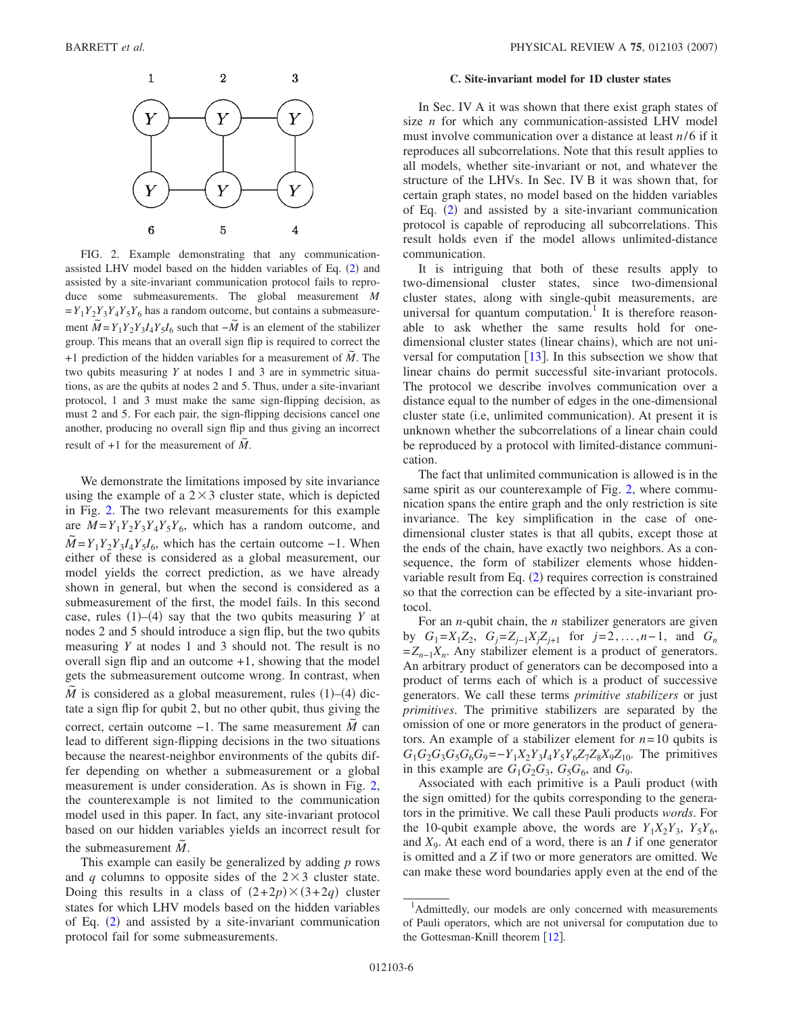<span id="page-5-0"></span>

FIG. 2. Example demonstrating that any communication-assisted LHV model based on the hidden variables of Eq. ([2](#page-1-3)) and assisted by a site-invariant communication protocol fails to reproduce some submeasurements. The global measurement *M*  $=Y_1Y_2Y_3Y_4Y_5Y_6$  has a random outcome, but contains a submeasurement  $\overline{M} = Y_1 Y_2 Y_3 I_4 Y_5 I_6$  such that  $-\overline{M}$  is an element of the stabilizer group. This means that an overall sign flip is required to correct the  $+1$  prediction of the hidden variables for a measurement of  $\tilde{M}$ . The two qubits measuring *Y* at nodes 1 and 3 are in symmetric situations, as are the qubits at nodes 2 and 5. Thus, under a site-invariant protocol, 1 and 3 must make the same sign-flipping decision, as must 2 and 5. For each pair, the sign-flipping decisions cancel one another, producing no overall sign flip and thus giving an incorrect result of  $+1$  for the measurement of  $\tilde{M}$ .

We demonstrate the limitations imposed by site invariance using the example of a  $2\times3$  cluster state, which is depicted in Fig. [2.](#page-5-0) The two relevant measurements for this example are  $M = Y_1 Y_2 Y_3 Y_4 Y_5 Y_6$ , which has a random outcome, and  $M = Y_1 Y_2 Y_3 I_4 Y_5 I_6$ , which has the certain outcome −1. When either of these is considered as a global measurement, our model yields the correct prediction, as we have already shown in general, but when the second is considered as a submeasurement of the first, the model fails. In this second case, rules  $(1)$ – $(4)$  say that the two qubits measuring *Y* at nodes 2 and 5 should introduce a sign flip, but the two qubits measuring *Y* at nodes 1 and 3 should not. The result is no overall sign flip and an outcome  $+1$ , showing that the model gets the submeasurement outcome wrong. In contrast, when  $\tilde{M}$  is considered as a global measurement, rules  $(1)$ – $(4)$  dictate a sign flip for qubit 2, but no other qubit, thus giving the correct, certain outcome −1. The same measurement *M* can lead to different sign-flipping decisions in the two situations because the nearest-neighbor environments of the qubits differ depending on whether a submeasurement or a global measurement is under consideration. As is shown in Fig. [2,](#page-5-0) the counterexample is not limited to the communication model used in this paper. In fact, any site-invariant protocol based on our hidden variables yields an incorrect result for the submeasurement *M*.

This example can easily be generalized by adding *p* rows and *q* columns to opposite sides of the  $2 \times 3$  cluster state. Doing this results in a class of  $(2+2p) \times (3+2q)$  cluster states for which LHV models based on the hidden variables of Eq. ([2](#page-1-3)) and assisted by a site-invariant communication protocol fail for some submeasurements.

#### **C. Site-invariant model for 1D cluster states**

In Sec. IV A it was shown that there exist graph states of size *n* for which any communication-assisted LHV model must involve communication over a distance at least *n*/6 if it reproduces all subcorrelations. Note that this result applies to all models, whether site-invariant or not, and whatever the structure of the LHVs. In Sec. IV B it was shown that, for certain graph states, no model based on the hidden variables of Eq. ([2](#page-1-3)) and assisted by a site-invariant communication protocol is capable of reproducing all subcorrelations. This result holds even if the model allows unlimited-distance communication.

It is intriguing that both of these results apply to two-dimensional cluster states, since two-dimensional cluster states, along with single-qubit measurements, are universal for quantum computation.<sup>1</sup> It is therefore reasonable to ask whether the same results hold for onedimensional cluster states (linear chains), which are not universal for computation  $[13]$  $[13]$  $[13]$ . In this subsection we show that linear chains do permit successful site-invariant protocols. The protocol we describe involves communication over a distance equal to the number of edges in the one-dimensional cluster state (i.e, unlimited communication). At present it is unknown whether the subcorrelations of a linear chain could be reproduced by a protocol with limited-distance communication.

The fact that unlimited communication is allowed is in the same spirit as our counterexample of Fig. [2,](#page-5-0) where communication spans the entire graph and the only restriction is site invariance. The key simplification in the case of onedimensional cluster states is that all qubits, except those at the ends of the chain, have exactly two neighbors. As a consequence, the form of stabilizer elements whose hiddenvariable result from Eq.  $(2)$  $(2)$  $(2)$  requires correction is constrained so that the correction can be effected by a site-invariant protocol.

For an *n*-qubit chain, the *n* stabilizer generators are given by  $G_1 = X_1 Z_2$ ,  $G_j = Z_{j-1} X_j Z_{j+1}$  for  $j = 2, ..., n-1$ , and  $G_n$ =*Zn*−1*Xn*. Any stabilizer element is a product of generators. An arbitrary product of generators can be decomposed into a product of terms each of which is a product of successive generators. We call these terms *primitive stabilizers* or just *primitives*. The primitive stabilizers are separated by the omission of one or more generators in the product of generators. An example of a stabilizer element for  $n=10$  qubits is  $G_1G_2G_3G_5G_6G_9 = -Y_1X_2Y_3I_4Y_5Y_6Z_7Z_8X_9Z_{10}$ . The primitives in this example are  $G_1G_2G_3$ ,  $G_5G_6$ , and  $G_9$ .

Associated with each primitive is a Pauli product (with the sign omitted) for the qubits corresponding to the generators in the primitive. We call these Pauli products *words*. For the 10-qubit example above, the words are  $Y_1X_2Y_3$ ,  $Y_5Y_6$ , and *X*9. At each end of a word, there is an *I* if one generator is omitted and a *Z* if two or more generators are omitted. We can make these word boundaries apply even at the end of the

<sup>&</sup>lt;sup>1</sup>Admittedly, our models are only concerned with measurements of Pauli operators, which are not universal for computation due to the Gottesman-Knill theorem  $[12]$  $[12]$  $[12]$ .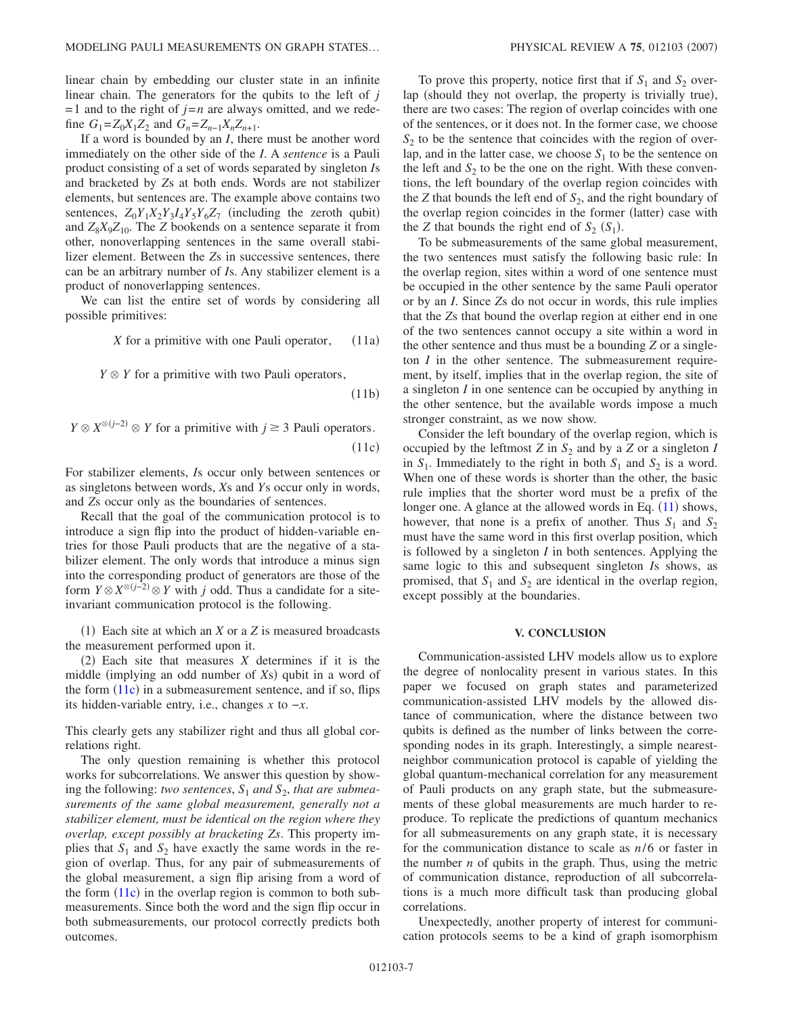linear chain by embedding our cluster state in an infinite linear chain. The generators for the qubits to the left of *j* =1 and to the right of *j*=*n* are always omitted, and we redefine  $G_1 = Z_0 X_1 Z_2$  and  $G_n = Z_{n-1} X_n Z_{n+1}$ .

If a word is bounded by an *I*, there must be another word immediately on the other side of the *I*. A *sentence* is a Pauli product consisting of a set of words separated by singleton *I*s and bracketed by *Z*s at both ends. Words are not stabilizer elements, but sentences are. The example above contains two sentences,  $Z_0Y_1X_2Y_3I_4Y_5Y_6Z_7$  (including the zeroth qubit) and  $Z_8X_9Z_{10}$ . The *Z* bookends on a sentence separate it from other, nonoverlapping sentences in the same overall stabilizer element. Between the *Z*s in successive sentences, there can be an arbitrary number of *I*s. Any stabilizer element is a product of nonoverlapping sentences.

<span id="page-6-1"></span>We can list the entire set of words by considering all possible primitives:

> *X* for a primitive with one Pauli operator,  $(11a)$

> > $(11b)$

 $Y \otimes Y$  for a primitive with two Pauli operators,

<span id="page-6-0"></span>
$$
Y \otimes X^{\otimes (j-2)} \otimes Y \text{ for a primitive with } j \ge 3 \text{ Pauli operators.}
$$
\n(11c)

For stabilizer elements, *I*s occur only between sentences or as singletons between words, *X*s and *Y*s occur only in words, and *Z*s occur only as the boundaries of sentences.

Recall that the goal of the communication protocol is to introduce a sign flip into the product of hidden-variable entries for those Pauli products that are the negative of a stabilizer element. The only words that introduce a minus sign into the corresponding product of generators are those of the form  $Y \otimes X^{\otimes (j-2)} \otimes Y$  with *j* odd. Thus a candidate for a siteinvariant communication protocol is the following.

(1) Each site at which an  $X$  or a  $Z$  is measured broadcasts the measurement performed upon it.

 $(2)$  Each site that measures *X* determines if it is the middle (implying an odd number of *Xs*) qubit in a word of the form  $(11c)$  $(11c)$  $(11c)$  in a submeasurement sentence, and if so, flips its hidden-variable entry, i.e., changes *x* to −*x*.

This clearly gets any stabilizer right and thus all global correlations right.

The only question remaining is whether this protocol works for subcorrelations. We answer this question by showing the following: *two sentences*,  $S_1$  *and*  $S_2$ *, that are submeasurements of the same global measurement, generally not a stabilizer element, must be identical on the region where they overlap, except possibly at bracketing Zs*. This property implies that  $S_1$  and  $S_2$  have exactly the same words in the region of overlap. Thus, for any pair of submeasurements of the global measurement, a sign flip arising from a word of the form  $(11c)$  $(11c)$  $(11c)$  in the overlap region is common to both submeasurements. Since both the word and the sign flip occur in both submeasurements, our protocol correctly predicts both outcomes.

To prove this property, notice first that if  $S_1$  and  $S_2$  overlap (should they not overlap, the property is trivially true), there are two cases: The region of overlap coincides with one of the sentences, or it does not. In the former case, we choose  $S<sub>2</sub>$  to be the sentence that coincides with the region of overlap, and in the latter case, we choose  $S_1$  to be the sentence on the left and  $S_2$  to be the one on the right. With these conventions, the left boundary of the overlap region coincides with the *Z* that bounds the left end of  $S_2$ , and the right boundary of the overlap region coincides in the former (latter) case with the *Z* that bounds the right end of  $S_2$   $(S_1)$ .

To be submeasurements of the same global measurement, the two sentences must satisfy the following basic rule: In the overlap region, sites within a word of one sentence must be occupied in the other sentence by the same Pauli operator or by an *I*. Since *Z*s do not occur in words, this rule implies that the *Z*s that bound the overlap region at either end in one of the two sentences cannot occupy a site within a word in the other sentence and thus must be a bounding *Z* or a singleton *I* in the other sentence. The submeasurement requirement, by itself, implies that in the overlap region, the site of a singleton *I* in one sentence can be occupied by anything in the other sentence, but the available words impose a much stronger constraint, as we now show.

Consider the left boundary of the overlap region, which is occupied by the leftmost *Z* in  $S_2$  and by a *Z* or a singleton *I* in  $S_1$ . Immediately to the right in both  $S_1$  and  $S_2$  is a word. When one of these words is shorter than the other, the basic rule implies that the shorter word must be a prefix of the longer one. A glance at the allowed words in Eq.  $(11)$  $(11)$  $(11)$  shows, however, that none is a prefix of another. Thus  $S_1$  and  $S_2$ must have the same word in this first overlap position, which is followed by a singleton *I* in both sentences. Applying the same logic to this and subsequent singleton *I*s shows, as promised, that  $S_1$  and  $S_2$  are identical in the overlap region, except possibly at the boundaries.

### **V. CONCLUSION**

Communication-assisted LHV models allow us to explore the degree of nonlocality present in various states. In this paper we focused on graph states and parameterized communication-assisted LHV models by the allowed distance of communication, where the distance between two qubits is defined as the number of links between the corresponding nodes in its graph. Interestingly, a simple nearestneighbor communication protocol is capable of yielding the global quantum-mechanical correlation for any measurement of Pauli products on any graph state, but the submeasurements of these global measurements are much harder to reproduce. To replicate the predictions of quantum mechanics for all submeasurements on any graph state, it is necessary for the communication distance to scale as *n*/6 or faster in the number *n* of qubits in the graph. Thus, using the metric of communication distance, reproduction of all subcorrelations is a much more difficult task than producing global correlations.

Unexpectedly, another property of interest for communication protocols seems to be a kind of graph isomorphism